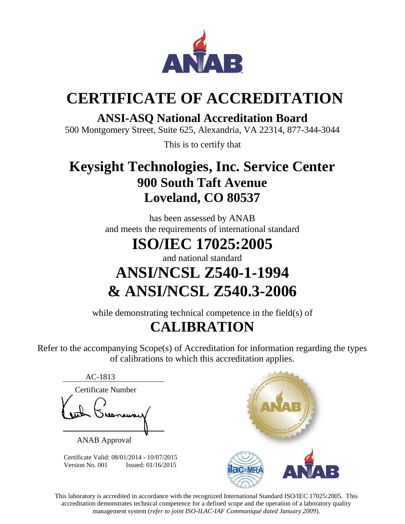

# **CERTIFICATE OF ACCREDITATION**

#### **ANSI-ASQ National Accreditation Board**

500 Montgomery Street, Suite 625, Alexandria, VA 22314, 877-344-3044

This is to certify that

### **Keysight Technologies, Inc. Service Center 900 South Taft Avenue Loveland, CO 80537**

has been assessed by ANAB and meets the requirements of international standard

## **ISO/IEC 17025:2005**

and national standard

## **ANSI/NCSL Z540-1-1994 & ANSI/NCSL Z540.3-2006**

while demonstrating technical competence in the field(s) of

### **CALIBRATION**

Refer to the accompanying Scope(s) of Accreditation for information regarding the types of calibrations to which this accreditation applies.

| AC-1813            |
|--------------------|
| Certificate Number |
|                    |
|                    |
| nowary             |
|                    |
|                    |

ANAB Approval

 Certificate Valid: 08/01/2014 - 10/07/2015 Version No. 001 **Issued:** 01/16/2015



This laboratory is accredited in accordance with the recognized International Standard ISO/IEC 17025:2005. This accreditation demonstrates technical competence for a defined scope and the operation of a laboratory quality management system (*refer to joint ISO-ILAC-IAF Communiqué dated January 2009*).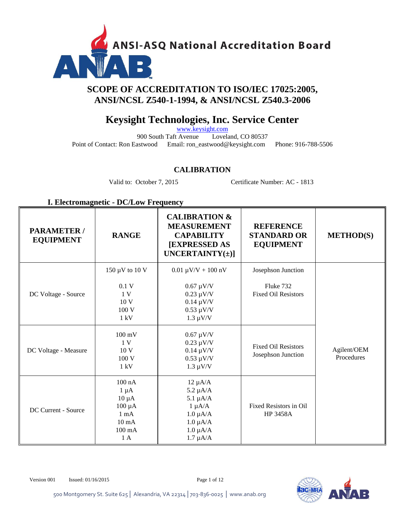

#### **SCOPE OF ACCREDITATION TO ISO/IEC 17025:2005, ANSI/NCSL Z540-1-1994, & ANSI/NCSL Z540.3-2006**

#### **Keysight Technologies, Inc. Service Center**

[www.keysight.com](http://www.keysight.com/)<br>
Loveland, CO 80537 900 South Taft Avenue Point of Contact: Ron Eastwood Email: ron\_eastwood@keysight.com Phone: 916-788-5506

#### **CALIBRATION**

Valid to: October 7, 2015 Certificate Number: AC - 1813

#### **I. Electromagnetic - DC/Low Frequency**

| <b>PARAMETER /</b><br><b>EQUIPMENT</b> | <b>RANGE</b>                                                                                                      | <b>CALIBRATION &amp;</b><br><b>MEASUREMENT</b><br><b>CAPABILITY</b><br><b>[EXPRESSED AS</b><br>UNCERTAINTY $(\pm)$ ]              | <b>REFERENCE</b><br><b>STANDARD OR</b><br><b>EQUIPMENT</b> | <b>METHOD(S)</b>          |
|----------------------------------------|-------------------------------------------------------------------------------------------------------------------|-----------------------------------------------------------------------------------------------------------------------------------|------------------------------------------------------------|---------------------------|
|                                        | 150 µV to 10 V                                                                                                    | $0.01 \mu V/V + 100 \ nV$                                                                                                         | Josephson Junction                                         |                           |
| DC Voltage - Source                    | 0.1V<br>1 <sub>V</sub><br>10 <sub>V</sub><br>100V<br>$1 \text{ kV}$                                               | $0.67 \mu V/V$<br>$0.23 \mu V/V$<br>$0.14 \mu V/V$<br>$0.53 \mu V/V$<br>$1.3 \mu V/V$                                             | Fluke 732<br><b>Fixed Oil Resistors</b>                    |                           |
| DC Voltage - Measure                   | $100 \text{ mV}$<br>1 <sup>V</sup><br>10 <sub>V</sub><br>100 V<br>$1 \text{ kV}$                                  | $0.67 \mu V/V$<br>$0.23 \mu V/V$<br>$0.14 \mu V/V$<br>$0.53 \mu V/V$<br>$1.3 \mu V/V$                                             | <b>Fixed Oil Resistors</b><br>Josephson Junction           | Agilent/OEM<br>Procedures |
| DC Current - Source                    | $100$ nA<br>$1 \mu A$<br>$10 \mu A$<br>$100 \mu A$<br>$1 \text{ mA}$<br>$10 \text{ mA}$<br>$100 \text{ mA}$<br>1A | $12 \mu A/A$<br>$5.2 \mu A/A$<br>$5.1 \mu A/A$<br>$1 \mu A/A$<br>$1.0 \mu A/A$<br>$1.0 \mu A/A$<br>$1.0 \mu A/A$<br>$1.7 \mu A/A$ | Fixed Resistors in Oil<br><b>HP 3458A</b>                  |                           |



Version 001 Issued: 01/16/2015 Page 1 of 12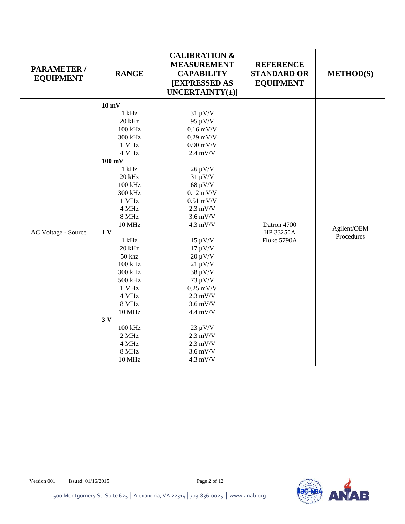| <b>PARAMETER/</b><br><b>EQUIPMENT</b> | <b>RANGE</b>                                                                                                                                                                                                                                                                                                                                                         | <b>CALIBRATION &amp;</b><br><b>MEASUREMENT</b><br><b>CAPABILITY</b><br>[EXPRESSED AS<br>UNCERTAINTY $(\pm)$ ]                                                                                                                                                                                                                                                                                                                        | <b>REFERENCE</b><br><b>STANDARD OR</b><br><b>EQUIPMENT</b> | <b>METHOD(S)</b>          |
|---------------------------------------|----------------------------------------------------------------------------------------------------------------------------------------------------------------------------------------------------------------------------------------------------------------------------------------------------------------------------------------------------------------------|--------------------------------------------------------------------------------------------------------------------------------------------------------------------------------------------------------------------------------------------------------------------------------------------------------------------------------------------------------------------------------------------------------------------------------------|------------------------------------------------------------|---------------------------|
| AC Voltage - Source                   | $10 \text{ mV}$<br>$1$ kHz<br>20 kHz<br>100 kHz<br>300 kHz<br>1 MHz<br>4 MHz<br>$100 \text{ mV}$<br>$1$ kHz<br>20 kHz<br>100 kHz<br>300 kHz<br>1 MHz<br>4 MHz<br>8 MHz<br><b>10 MHz</b><br>1 <sub>V</sub><br>$1$ kHz<br>20 kHz<br>50 khz<br>100 kHz<br>300 kHz<br>500 kHz<br>1 MHz<br>4 MHz<br>8 MHz<br>10 MHz<br>3V<br>100 kHz<br>2 MHz<br>4 MHz<br>8 MHz<br>10 MHz | $31 \mu V/V$<br>95 µV/V<br>$0.16$ mV/V<br>$0.29$ mV/V<br>$0.90$ mV/V<br>$2.4$ mV/V<br>$26 \mu V/V$<br>$31 \mu V/V$<br>$68 \mu V/V$<br>$0.12$ mV/V<br>$0.51$ mV/V<br>$2.3$ mV/V<br>$3.6$ mV/V<br>$4.3$ mV/V<br>$15 \mu V/V$<br>$17 \mu V/V$<br>$20 \mu V/V$<br>$21 \mu V/V$<br>$38 \mu V/V$<br>73 µV/V<br>$0.25$ mV/V<br>$2.3$ mV/V<br>$3.6$ mV/V<br>4.4 mV/V<br>$23 \mu V/V$<br>$2.3$ mV/V<br>$2.3$ mV/V<br>$3.6$ mV/V<br>$4.3$ mV/V | Datron 4700<br>HP 33250A<br>Fluke 5790A                    | Agilent/OEM<br>Procedures |

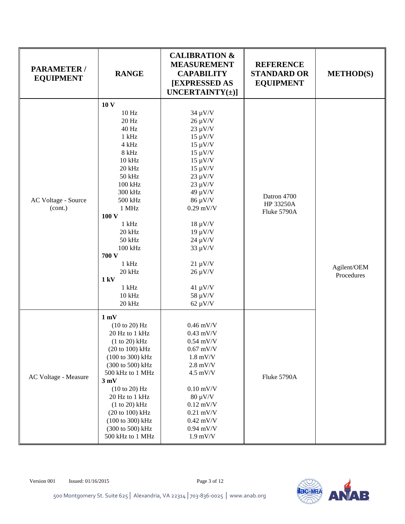| <b>PARAMETER/</b><br><b>EQUIPMENT</b> | <b>RANGE</b>                         | <b>CALIBRATION &amp;</b><br><b>MEASUREMENT</b><br><b>CAPABILITY</b><br>[EXPRESSED AS<br>UNCERTAINTY( $\pm$ )] | <b>REFERENCE</b><br><b>STANDARD OR</b><br><b>EQUIPMENT</b> | <b>METHOD(S)</b> |
|---------------------------------------|--------------------------------------|---------------------------------------------------------------------------------------------------------------|------------------------------------------------------------|------------------|
|                                       | 10 <sub>V</sub><br>$10\ \mathrm{Hz}$ | $34 \mu V/V$                                                                                                  |                                                            |                  |
|                                       | 20 Hz                                | $26 \mu V/V$                                                                                                  |                                                            |                  |
|                                       | 40 Hz                                | $23 \mu V/V$                                                                                                  |                                                            |                  |
|                                       | $1$ kHz                              | $15 \mu V/V$                                                                                                  |                                                            |                  |
|                                       | 4 kHz                                | $15 \mu V/V$                                                                                                  |                                                            |                  |
|                                       | 8 kHz                                | $15 \mu V/V$                                                                                                  |                                                            |                  |
|                                       | $10$ kHz                             | $15 \mu V/V$                                                                                                  |                                                            |                  |
|                                       | 20 kHz                               | $15 \mu V/V$                                                                                                  |                                                            |                  |
|                                       | 50 kHz                               | $23 \mu V/V$                                                                                                  |                                                            |                  |
|                                       | 100 kHz                              | $23 \mu V/V$                                                                                                  |                                                            |                  |
|                                       | 300 kHz                              | 49 μV/V                                                                                                       |                                                            |                  |
| AC Voltage - Source                   | 500 kHz                              | 86 μV/V                                                                                                       | Datron 4700<br>HP 33250A                                   |                  |
| (cont.)                               | 1 MHz                                | $0.29$ mV/V                                                                                                   | Fluke 5790A                                                |                  |
|                                       | 100 V                                |                                                                                                               |                                                            |                  |
|                                       | $1$ kHz                              | $18 \mu V/V$                                                                                                  |                                                            |                  |
|                                       | 20 kHz                               | $19 \mu V/V$                                                                                                  |                                                            |                  |
|                                       | 50 kHz                               | $24 \mu V/V$                                                                                                  |                                                            |                  |
|                                       | 100 kHz                              | $33 \mu V/V$                                                                                                  |                                                            |                  |
|                                       | 700 V                                |                                                                                                               |                                                            |                  |
|                                       | $1$ kHz                              | $21 \mu V/V$                                                                                                  |                                                            | Agilent/OEM      |
|                                       | 20 kHz                               | $26 \mu V/V$                                                                                                  |                                                            | Procedures       |
|                                       | 1 kV                                 |                                                                                                               |                                                            |                  |
|                                       | $1$ kHz<br>10 kHz                    | $41 \mu V/V$                                                                                                  |                                                            |                  |
|                                       | 20 kHz                               | $58 \mu V/V$<br>$62 \mu V/V$                                                                                  |                                                            |                  |
|                                       |                                      |                                                                                                               |                                                            |                  |
|                                       | 1 mV                                 |                                                                                                               |                                                            |                  |
|                                       | (10 to 20) Hz                        | $0.46$ mV/V                                                                                                   |                                                            |                  |
|                                       | 20 Hz to 1 kHz                       | $0.43$ mV/V                                                                                                   |                                                            |                  |
|                                       | $(1 to 20)$ kHz                      | $0.54$ mV/V                                                                                                   |                                                            |                  |
|                                       | (20 to 100) kHz                      | $0.67$ mV/V                                                                                                   |                                                            |                  |
|                                       | (100 to 300) kHz                     | $1.8$ mV/V                                                                                                    |                                                            |                  |
|                                       | (300 to 500) kHz                     | $2.8$ mV/V                                                                                                    |                                                            |                  |
| AC Voltage - Measure                  | 500 kHz to 1 MHz                     | $4.5$ mV/V                                                                                                    | Fluke 5790A                                                |                  |
|                                       | 3 mV                                 |                                                                                                               |                                                            |                  |
|                                       | (10 to 20) Hz                        | $0.10$ mV/V                                                                                                   |                                                            |                  |
|                                       | 20 Hz to 1 kHz                       | $80 \mu V/V$                                                                                                  |                                                            |                  |
|                                       | (1 to 20) kHz<br>(20 to 100) kHz     | $0.12$ mV/V<br>$0.21$ mV/V                                                                                    |                                                            |                  |
|                                       | (100 to 300) kHz                     | $0.42$ mV/V                                                                                                   |                                                            |                  |
|                                       | (300 to 500) kHz                     | $0.94$ mV/V                                                                                                   |                                                            |                  |
|                                       | 500 kHz to 1 MHz                     | $1.9$ mV/V                                                                                                    |                                                            |                  |
|                                       |                                      |                                                                                                               |                                                            |                  |



500 Montgomery St. Suite 625│ Alexandria, VA 22314│703-836-0025 │ www.anab.org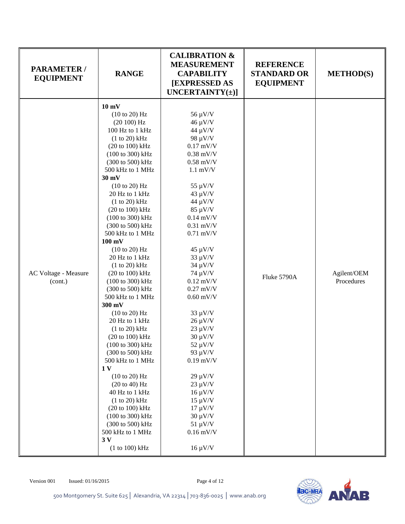| PARAMETER /<br><b>EQUIPMENT</b> | <b>RANGE</b>                                                                                                                                                                                                                                                                                                                                                                                                                                                                                                                                                                                                                                                                                                                                                                                              | <b>CALIBRATION &amp;</b><br><b>MEASUREMENT</b><br><b>CAPABILITY</b><br><b>[EXPRESSED AS</b><br>UNCERTAINTY $(\pm)$ ]                                                                                                                                                                                                                                                                                                                                                                                                                                         | <b>REFERENCE</b><br><b>STANDARD OR</b><br><b>EQUIPMENT</b> | <b>METHOD(S)</b>          |
|---------------------------------|-----------------------------------------------------------------------------------------------------------------------------------------------------------------------------------------------------------------------------------------------------------------------------------------------------------------------------------------------------------------------------------------------------------------------------------------------------------------------------------------------------------------------------------------------------------------------------------------------------------------------------------------------------------------------------------------------------------------------------------------------------------------------------------------------------------|--------------------------------------------------------------------------------------------------------------------------------------------------------------------------------------------------------------------------------------------------------------------------------------------------------------------------------------------------------------------------------------------------------------------------------------------------------------------------------------------------------------------------------------------------------------|------------------------------------------------------------|---------------------------|
| AC Voltage - Measure<br>(cont.) | $10 \text{ mV}$<br>(10 to 20) Hz<br>(20100) Hz<br>100 Hz to 1 kHz<br>(1 to 20) kHz<br>(20 to 100) kHz<br>(100 to 300) kHz<br>(300 to 500) kHz<br>500 kHz to 1 MHz<br>$30 \text{ mV}$<br>(10 to 20) Hz<br>20 Hz to 1 kHz<br>(1 to 20) kHz<br>(20 to 100) kHz<br>(100 to 300) kHz<br>(300 to 500) kHz<br>500 kHz to 1 MHz<br>$100 \text{ mV}$<br>(10 to 20) Hz<br>20 Hz to 1 kHz<br>(1 to 20) kHz<br>(20 to 100) kHz<br>(100 to 300) kHz<br>(300 to 500) kHz<br>500 kHz to 1 MHz<br>300 mV<br>(10 to 20) Hz<br>20 Hz to 1 kHz<br>$(1 to 20)$ kHz<br>(20 to 100) kHz<br>(100 to 300) kHz<br>(300 to 500) kHz<br>500 kHz to 1 MHz<br>1 <sub>V</sub><br>(10 to 20) Hz<br>(20 to 40) Hz<br>40 Hz to 1 kHz<br>(1 to 20) kHz<br>(20 to 100) kHz<br>(100 to 300) kHz<br>(300 to 500) kHz<br>500 kHz to 1 MHz<br>3V | 56 µV/V<br>$46 \mu V/V$<br>44 µV/V<br>98 µV/V<br>$0.17$ mV/V<br>$0.38$ mV/V<br>$0.58$ mV/V<br>$1.1$ mV/V<br>55 µV/V<br>$43 \mu V/V$<br>44 µV/V<br>$85 \mu V/V$<br>$0.14$ mV/V<br>$0.31$ mV/V<br>$0.71$ mV/V<br>$45 \mu V/V$<br>$33 \mu V/V$<br>$34 \mu V/V$<br>74 µV/V<br>$0.12$ mV/V<br>$0.27$ mV/V<br>$0.60$ mV/V<br>$33 \mu V/V$<br>$26 \mu V/V$<br>$23 \mu V/V$<br>$30 \mu V/V$<br>$52 \mu V/V$<br>93 µV/V<br>$0.19$ mV/V<br>$29 \mu V/V$<br>$23 \mu V/V$<br>$16 \mu V/V$<br>$15 \mu V/V$<br>$17 \mu V/V$<br>$30 \mu V/V$<br>$51 \mu V/V$<br>$0.16$ mV/V | Fluke 5790A                                                | Agilent/OEM<br>Procedures |
|                                 | (1 to 100) kHz                                                                                                                                                                                                                                                                                                                                                                                                                                                                                                                                                                                                                                                                                                                                                                                            | $16 \mu V/V$                                                                                                                                                                                                                                                                                                                                                                                                                                                                                                                                                 |                                                            |                           |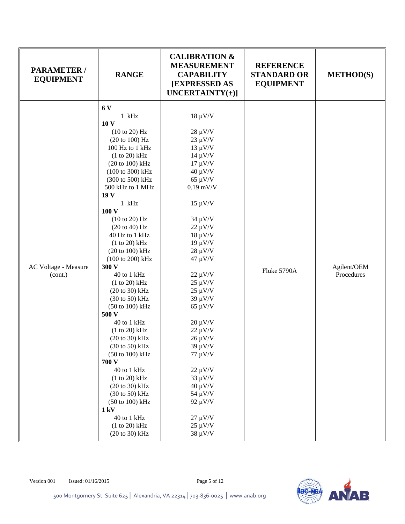| PARAMETER /<br><b>EQUIPMENT</b> | <b>RANGE</b>                        | <b>CALIBRATION &amp;</b><br><b>MEASUREMENT</b><br><b>CAPABILITY</b><br><b>[EXPRESSED AS]</b><br>UNCERTAINTY $(\pm)$ ] | <b>REFERENCE</b><br><b>STANDARD OR</b><br><b>EQUIPMENT</b> | <b>METHOD(S)</b>          |
|---------------------------------|-------------------------------------|-----------------------------------------------------------------------------------------------------------------------|------------------------------------------------------------|---------------------------|
|                                 | 6 V<br>$1$ kHz<br>10 <sub>V</sub>   | $18 \mu V/V$                                                                                                          |                                                            |                           |
|                                 | (10 to 20) Hz                       | $28 \mu V/V$                                                                                                          |                                                            |                           |
|                                 | (20 to 100) Hz                      | $23 \mu V/V$                                                                                                          |                                                            |                           |
|                                 | 100 Hz to 1 kHz                     | $13 \mu V/V$                                                                                                          |                                                            |                           |
|                                 | (1 to 20) kHz                       | $14 \mu V/V$                                                                                                          |                                                            |                           |
|                                 | $(20 to 100)$ kHz                   | $17 \mu V/V$                                                                                                          |                                                            |                           |
|                                 | (100 to 300) kHz                    | $40 \mu V/V$                                                                                                          |                                                            |                           |
|                                 | (300 to 500) kHz                    | $65 \mu V/V$                                                                                                          |                                                            |                           |
|                                 | 500 kHz to 1 MHz<br>19 <sub>V</sub> | $0.19$ mV/V                                                                                                           |                                                            |                           |
|                                 | $1$ kHz<br>100V                     | $15 \mu V/V$                                                                                                          |                                                            | Agilent/OEM<br>Procedures |
|                                 | (10 to 20) Hz                       | 34 µV/V                                                                                                               |                                                            |                           |
|                                 | (20 to 40) Hz                       | $22 \mu V/V$                                                                                                          |                                                            |                           |
|                                 | 40 Hz to 1 kHz                      | $18 \mu V/V$                                                                                                          |                                                            |                           |
|                                 | (1 to 20) kHz                       | $19 \mu V/V$                                                                                                          |                                                            |                           |
|                                 | (20 to 100) kHz                     | $28 \mu V/V$                                                                                                          |                                                            |                           |
|                                 | (100 to 200) kHz                    | 47 μV/V                                                                                                               |                                                            |                           |
| AC Voltage - Measure            | 300 V                               |                                                                                                                       |                                                            |                           |
| (cont.)                         | 40 to 1 kHz                         | $22 \mu V/V$                                                                                                          | Fluke 5790A                                                |                           |
|                                 | (1 to 20) kHz                       | $25 \mu V/V$                                                                                                          |                                                            |                           |
|                                 | $(20 to 30)$ kHz                    | $25 \mu V/V$                                                                                                          |                                                            |                           |
|                                 | $(30 \text{ to } 50) \text{ kHz}$   | 39 µV/V                                                                                                               |                                                            |                           |
|                                 | (50 to 100) kHz                     | $65 \mu V/V$                                                                                                          |                                                            |                           |
|                                 | 500 V                               |                                                                                                                       |                                                            |                           |
|                                 | 40 to 1 kHz                         | $20 \mu V/V$                                                                                                          |                                                            |                           |
|                                 | (1 to 20) kHz                       | $22 \mu V/V$                                                                                                          |                                                            |                           |
|                                 | (20 to 30) kHz                      | $26 \mu V/V$                                                                                                          |                                                            |                           |
|                                 | $(30 \text{ to } 50) \text{ kHz}$   | $39 \mu V/V$                                                                                                          |                                                            |                           |
|                                 | (50 to 100) kHz                     | $77 \mu V/V$                                                                                                          |                                                            |                           |
|                                 | 700 V                               |                                                                                                                       |                                                            |                           |
|                                 | 40 to 1 kHz                         | $22 \mu V/V$                                                                                                          |                                                            |                           |
|                                 | (1 to 20) kHz                       | $33 \mu V/V$                                                                                                          |                                                            |                           |
|                                 | $(20 to 30)$ kHz                    | $40 \mu V/V$                                                                                                          |                                                            |                           |
|                                 | $(30 \text{ to } 50) \text{ kHz}$   | 54 µV/V                                                                                                               |                                                            |                           |
|                                 | (50 to 100) kHz                     | 92 µV/V                                                                                                               |                                                            |                           |
|                                 | 1 kV                                |                                                                                                                       |                                                            |                           |
|                                 | 40 to 1 kHz                         | $27 \mu V/V$                                                                                                          |                                                            |                           |
|                                 | (1 to 20) kHz                       | $25 \mu V/V$                                                                                                          |                                                            |                           |
|                                 | (20 to 30) kHz                      | $38 \mu V/V$                                                                                                          |                                                            |                           |

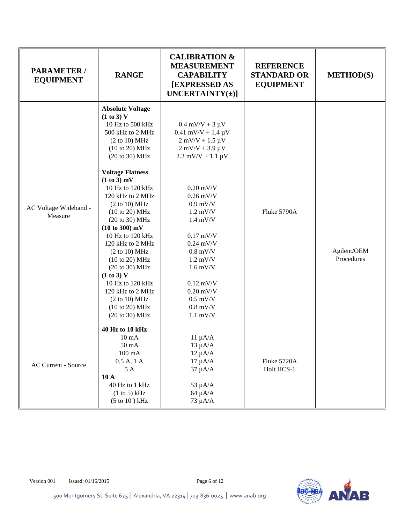| PARAMETER /<br><b>EQUIPMENT</b>  | <b>RANGE</b>                                                                                                                                                                                                                                                                                                                                                                                                                                                                                        | <b>CALIBRATION &amp;</b><br><b>MEASUREMENT</b><br><b>CAPABILITY</b><br>[EXPRESSED AS<br>UNCERTAINTY $(\pm)$ ]                                                                                                                                                                                                                                          | <b>REFERENCE</b><br><b>STANDARD OR</b><br><b>EQUIPMENT</b> | <b>METHOD(S)</b>          |
|----------------------------------|-----------------------------------------------------------------------------------------------------------------------------------------------------------------------------------------------------------------------------------------------------------------------------------------------------------------------------------------------------------------------------------------------------------------------------------------------------------------------------------------------------|--------------------------------------------------------------------------------------------------------------------------------------------------------------------------------------------------------------------------------------------------------------------------------------------------------------------------------------------------------|------------------------------------------------------------|---------------------------|
| AC Voltage Wideband -<br>Measure | <b>Absolute Voltage</b><br>(1 to 3) V<br>10 Hz to 500 kHz<br>500 kHz to 2 MHz<br>(2 to 10) MHz<br>(10 to 20) MHz<br>(20 to 30) MHz<br><b>Voltage Flatness</b><br>(1 to 3) mV<br>10 Hz to 120 kHz<br>120 kHz to 2 MHz<br>(2 to 10) MHz<br>(10 to 20) MHz<br>(20 to 30) MHz<br>(10 to 300) mV<br>10 Hz to 120 kHz<br>120 kHz to 2 MHz<br>(2 to 10) MHz<br>(10 to 20) MHz<br>(20 to 30) MHz<br>(1 to 3) V<br>10 Hz to 120 kHz<br>120 kHz to 2 MHz<br>(2 to 10) MHz<br>(10 to 20) MHz<br>(20 to 30) MHz | $0.4$ mV/V + 3 $\mu$ V<br>$0.41$ mV/V + 1.4 µV<br>$2$ mV/V + 1.5 $\mu$ V<br>$2$ mV/V + 3.9 $\mu$ V<br>$2.3$ mV/V + 1.1 $\mu$ V<br>$0.20$ mV/V<br>$0.26$ mV/V<br>$0.9$ mV/V<br>$1.2$ mV/V<br>$1.4$ mV/V<br>$0.17$ mV/V<br>$0.24$ mV/V<br>$0.8$ mV/V<br>$1.2$ mV/V<br>$1.6$ mV/V<br>$0.12$ mV/V<br>$0.20$ mV/V<br>$0.5$ mV/V<br>$0.8$ mV/V<br>$1.1$ mV/V | Fluke 5790A                                                | Agilent/OEM<br>Procedures |
| AC Current - Source              | 40 Hz to 10 kHz<br>$10 \text{ mA}$<br>50 mA<br>$100 \text{ mA}$<br>0.5 A, 1 A<br>5 A<br>10A<br>40 Hz to 1 kHz<br>(1 to 5) kHz<br>$(5 \text{ to } 10) \text{ kHz}$                                                                                                                                                                                                                                                                                                                                   | $11 \mu A/A$<br>$13 \mu A/A$<br>$12 \mu A/A$<br>$17 \mu A/A$<br>$37 \mu A/A$<br>$53 \mu A/A$<br>$64 \mu A/A$<br>$73 \mu A/A$                                                                                                                                                                                                                           | Fluke 5720A<br>Holt HCS-1                                  |                           |

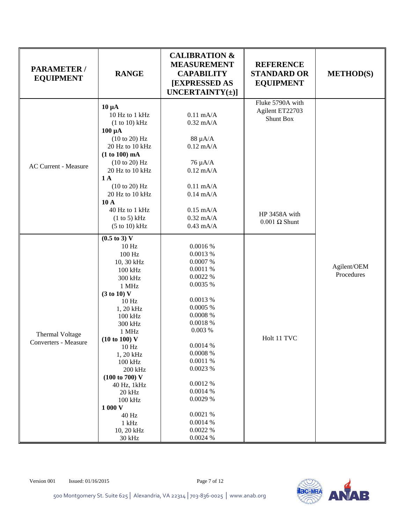| <b>PARAMETER/</b><br><b>EQUIPMENT</b>   | <b>RANGE</b>                                                                                                                                                                                                                                                                                                                                                                    | <b>CALIBRATION &amp;</b><br><b>MEASUREMENT</b><br><b>CAPABILITY</b><br><b>[EXPRESSED AS</b><br>UNCERTAINTY $(\pm)$ ]                                                                                                                                             | <b>REFERENCE</b><br><b>STANDARD OR</b><br><b>EQUIPMENT</b> | <b>METHOD(S)</b>          |
|-----------------------------------------|---------------------------------------------------------------------------------------------------------------------------------------------------------------------------------------------------------------------------------------------------------------------------------------------------------------------------------------------------------------------------------|------------------------------------------------------------------------------------------------------------------------------------------------------------------------------------------------------------------------------------------------------------------|------------------------------------------------------------|---------------------------|
| <b>AC Current - Measure</b>             | $10 \mu A$<br>10 Hz to 1 kHz<br>(1 to 10) kHz<br>$100 \mu A$<br>(10 to 20) Hz<br>20 Hz to 10 kHz<br>(1 to 100) mA<br>(10 to 20) Hz<br>20 Hz to 10 kHz<br>1A<br>(10 to 20) Hz<br>20 Hz to 10 kHz<br>10A                                                                                                                                                                          | $0.11$ mA/A<br>$0.32$ mA/A<br>$88 \mu A/A$<br>$0.12$ mA/A<br>76 μA/A<br>$0.12$ mA/A<br>$0.11$ mA/A<br>$0.14$ mA/A                                                                                                                                                | Fluke 5790A with<br>Agilent ET22703<br><b>Shunt Box</b>    |                           |
|                                         | 40 Hz to 1 kHz<br>(1 to 5) kHz<br>(5 to 10) kHz                                                                                                                                                                                                                                                                                                                                 | $0.15$ mA/A<br>$0.32$ mA/A<br>$0.43$ mA/A                                                                                                                                                                                                                        | HP 3458A with<br>$0.001 \Omega$ Shunt                      |                           |
| Thermal Voltage<br>Converters - Measure | $(0.5 \text{ to } 3) \text{ V}$<br>10 <sub>Hz</sub><br>100 Hz<br>10, 30 kHz<br>100 kHz<br>300 kHz<br>1 MHz<br>(3 to 10) V<br>10 <sub>Hz</sub><br>1, 20 kHz<br>100 kHz<br>300 kHz<br>1 MHz<br>(10 to 100) V<br>$10\,\mathrm{Hz}$<br>1, 20 kHz<br>100 kHz<br>200 kHz<br>(100 to 700) V<br>40 Hz, 1kHz<br>20 kHz<br>100 kHz<br>1 000 V<br>40 Hz<br>$1$ kHz<br>10, 20 kHz<br>30 kHz | 0.0016 %<br>0.0013 %<br>0.0007%<br>0.0011%<br>0.0022%<br>0.0035 %<br>0.0013 %<br>0.0005%<br>$0.0008~\%$<br>0.0018 %<br>0.003%<br>0.0014 %<br>$0.0008~\%$<br>0.0011%<br>0.0023 %<br>0.0012 %<br>0.0014 %<br>0.0029 %<br>0.0021%<br>0.0014 %<br>0.0022%<br>0.0024% | Holt 11 TVC                                                | Agilent/OEM<br>Procedures |

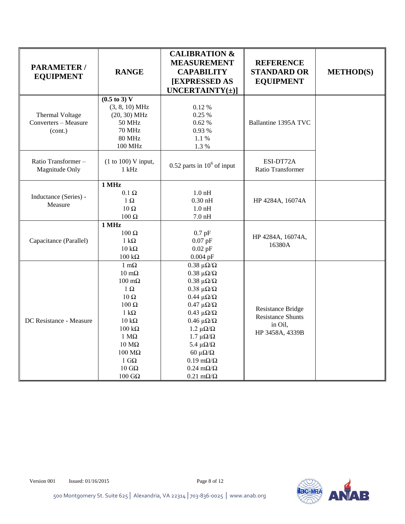| <b>PARAMETER/</b><br><b>EQUIPMENT</b>              | <b>RANGE</b>                                                                                                                                                                                                                                                   | <b>CALIBRATION &amp;</b><br><b>MEASUREMENT</b><br><b>CAPABILITY</b><br><b>[EXPRESSED AS</b><br>UNCERTAINTY $(\pm)$ ]                                                                                                                                                                                                                                                                            | <b>REFERENCE</b><br><b>STANDARD OR</b><br><b>EQUIPMENT</b>                         | <b>METHOD(S)</b> |
|----------------------------------------------------|----------------------------------------------------------------------------------------------------------------------------------------------------------------------------------------------------------------------------------------------------------------|-------------------------------------------------------------------------------------------------------------------------------------------------------------------------------------------------------------------------------------------------------------------------------------------------------------------------------------------------------------------------------------------------|------------------------------------------------------------------------------------|------------------|
| Thermal Voltage<br>Converters - Measure<br>(cont.) | $(0.5 \text{ to } 3) \text{ V}$<br>$(3, 8, 10)$ MHz<br>$(20, 30)$ MHz<br><b>50 MHz</b><br><b>70 MHz</b><br><b>80 MHz</b><br><b>100 MHz</b>                                                                                                                     | 0.12%<br>0.25 %<br>0.62%<br>0.93 %<br>1.1 %<br>1.3%                                                                                                                                                                                                                                                                                                                                             | Ballantine 1395A TVC                                                               |                  |
| Ratio Transformer-<br>Magnitude Only               | (1 to 100) V input,<br>$1$ kHz                                                                                                                                                                                                                                 | $0.52$ parts in $10^6$ of input                                                                                                                                                                                                                                                                                                                                                                 | ESI-DT72A<br>Ratio Transformer                                                     |                  |
| Inductance (Series) -<br>Measure                   | 1 MHz<br>$0.1~\Omega$<br>$1 \Omega$<br>10 $\Omega$<br>$100~\Omega$                                                                                                                                                                                             | $1.0$ nH<br>$0.30$ nH<br>$1.0$ nH<br>$7.0 \text{ nH}$                                                                                                                                                                                                                                                                                                                                           | HP 4284A, 16074A                                                                   |                  |
| Capacitance (Parallel)                             | 1 MHz<br>$100$ Ω<br>$1 \text{ k}\Omega$<br>$10 \text{ k}\Omega$<br>$100\ \mathrm{k}\Omega$                                                                                                                                                                     | $0.7$ pF<br>$0.07$ pF<br>$0.02$ pF<br>$0.004$ pF                                                                                                                                                                                                                                                                                                                                                | HP 4284A, 16074A,<br>16380A                                                        |                  |
| DC Resistance - Measure                            | $1 \text{ m}\Omega$<br>$10 \text{ m}\Omega$<br>$100 \text{ m}\Omega$<br>$1 \Omega$<br>$10$ Ω<br>100 Ω<br>$1 k\Omega$<br>$10 \text{ k}\Omega$<br>$100\;\mathrm{k}\Omega$<br>$1 M\Omega$<br>$10 \text{ M}\Omega$<br>100 ΜΩ<br>1 $G\Omega$<br>$10$ GO<br>$100$ GΩ | $0.38 \muΩ/Ω$<br>$0.38 \muΩ/Ω$<br>$0.38 \muΩ/Ω$<br>$0.38~\mu\Omega/\Omega$<br>$0.44 \mu\Omega/\Omega$<br>$0.47 \mu\Omega/\Omega$<br>$0.43 \mu\Omega/\Omega$<br>$0.46 \mu\Omega/\Omega$<br>1.2 μ $\Omega/\Omega$<br>$1.7 \mu\Omega/\Omega$<br>5.4 $\mu\Omega/\Omega$<br>60 $\mu\Omega/\Omega$<br>$0.19 \text{ m}\Omega/\Omega$<br>$0.24 \text{ m}\Omega/\Omega$<br>$0.21 \text{ m}\Omega/\Omega$ | <b>Resistance Bridge</b><br><b>Resistance Shunts</b><br>in Oil,<br>HP 3458A, 4339B |                  |

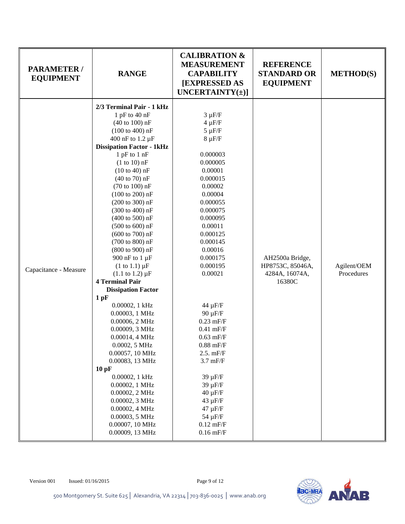| <b>PARAMETER /</b><br><b>EQUIPMENT</b> | <b>RANGE</b>                                                                                                                                                                                                                                                                                                                                                                                                                                                                                                                                                                                                                                                                                                                                                                                                                                                                                                                                                                                                                           | <b>CALIBRATION &amp;</b><br><b>MEASUREMENT</b><br><b>CAPABILITY</b><br><b>[EXPRESSED AS</b><br>UNCERTAINTY $(\pm)$ ]                                                                                                                                                                                                                                                                                                                                                                     | <b>REFERENCE</b><br><b>STANDARD OR</b><br><b>EQUIPMENT</b>      | <b>METHOD(S)</b>          |
|----------------------------------------|----------------------------------------------------------------------------------------------------------------------------------------------------------------------------------------------------------------------------------------------------------------------------------------------------------------------------------------------------------------------------------------------------------------------------------------------------------------------------------------------------------------------------------------------------------------------------------------------------------------------------------------------------------------------------------------------------------------------------------------------------------------------------------------------------------------------------------------------------------------------------------------------------------------------------------------------------------------------------------------------------------------------------------------|------------------------------------------------------------------------------------------------------------------------------------------------------------------------------------------------------------------------------------------------------------------------------------------------------------------------------------------------------------------------------------------------------------------------------------------------------------------------------------------|-----------------------------------------------------------------|---------------------------|
| Capacitance - Measure                  | 2/3 Terminal Pair - 1 kHz<br>1 pF to $40$ nF<br>$(40 \text{ to } 100) \text{ nF}$<br>$(100 \text{ to } 400) \text{ nF}$<br>400 nF to 1.2 µF<br><b>Dissipation Factor - 1kHz</b><br>$1$ pF to $1$ nF<br>$(1 to 10)$ nF<br>$(10 to 40)$ nF<br>$(40 \text{ to } 70) \text{ nF}$<br>$(70 \text{ to } 100) \text{ nF}$<br>$(100 \text{ to } 200) \text{ nF}$<br>$(200 \text{ to } 300) \text{ nF}$<br>(300 to 400) nF<br>$(400 \text{ to } 500) \text{ nF}$<br>$(500 \text{ to } 600) \text{ nF}$<br>$(600 \text{ to } 700) \text{ nF}$<br>(700 to 800) nF<br>(800 to 900) nF<br>900 nF to 1 µF<br>$(1 \text{ to } 1.1) \mu F$<br>$(1.1 \text{ to } 1.2) \mu F$<br><b>4 Terminal Pair</b><br><b>Dissipation Factor</b><br>$1$ pF<br>0.00002, 1 kHz<br>0.00003, 1 MHz<br>0.00006, 2 MHz<br>0.00009, 3 MHz<br>0.00014, 4 MHz<br>0.0002, 5 MHz<br>0.00057, 10 MHz<br>0.00083, 13 MHz<br>10pF<br>0.00002, 1 kHz<br>0.00002, 1 MHz<br>0.00002, 2 MHz<br>0.00002, 3 MHz<br>0.00002, 4 MHz<br>0.00003, 5 MHz<br>0.00007, 10 MHz<br>0.00009, 13 MHz | $3 \mu F/F$<br>$4 \mu F/F$<br>$5 \mu F/F$<br>$8 \mu F/F$<br>0.000003<br>0.000005<br>0.00001<br>0.000015<br>0.00002<br>0.00004<br>0.000055<br>0.000075<br>0.000095<br>0.00011<br>0.000125<br>0.000145<br>0.00016<br>0.000175<br>0.000195<br>0.00021<br>44 µF/F<br>90 µF/F<br>$0.23$ mF/F<br>$0.41$ mF/F<br>$0.63$ mF/F<br>$0.88$ mF/F<br>2.5. mF/F<br>$3.7$ mF/F<br>$39 \mu F/F$<br>39 µF/F<br>$40 \mu F/F$<br>$43 \mu F/F$<br>$47 \mu F/F$<br>$54 \mu F/F$<br>$0.12$ mF/F<br>$0.16$ mF/F | AH2500a Bridge,<br>HP8753C, 85046A,<br>4284A, 16074A,<br>16380C | Agilent/OEM<br>Procedures |

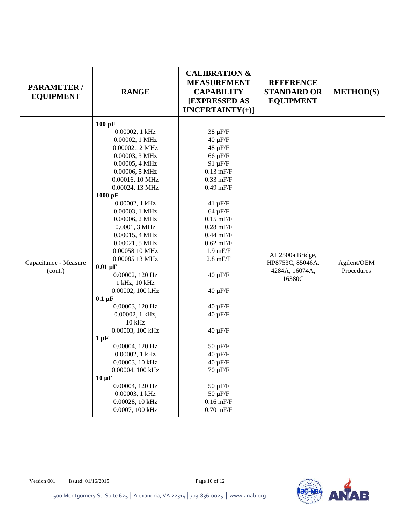| <b>PARAMETER /</b><br><b>EQUIPMENT</b> | <b>RANGE</b>                                                                                                                                                                                                                                                                                                                                                                                                                                                                                                                                                                                                                                                         | <b>CALIBRATION &amp;</b><br><b>MEASUREMENT</b><br><b>CAPABILITY</b><br>[EXPRESSED AS<br>UNCERTAINTY $(\pm)$ ]                                                                                                                                                                                                                                                                                                                                              | <b>REFERENCE</b><br><b>STANDARD OR</b><br><b>EQUIPMENT</b>      | <b>METHOD(S)</b>          |
|----------------------------------------|----------------------------------------------------------------------------------------------------------------------------------------------------------------------------------------------------------------------------------------------------------------------------------------------------------------------------------------------------------------------------------------------------------------------------------------------------------------------------------------------------------------------------------------------------------------------------------------------------------------------------------------------------------------------|------------------------------------------------------------------------------------------------------------------------------------------------------------------------------------------------------------------------------------------------------------------------------------------------------------------------------------------------------------------------------------------------------------------------------------------------------------|-----------------------------------------------------------------|---------------------------|
| Capacitance - Measure<br>(cont.)       | $100$ pF<br>0.00002, 1 kHz<br>0.00002, 1 MHz<br>0.00002., 2 MHz<br>0.00003, 3 MHz<br>0.00005, 4 MHz<br>0.00006, 5 MHz<br>0.00016, 10 MHz<br>0.00024, 13 MHz<br>1000 pF<br>0.00002, 1 kHz<br>0.00003, 1 MHz<br>0.00006, 2 MHz<br>0.0001, 3 MHz<br>0.00015, 4 MHz<br>0.00021, 5 MHz<br>0.00058 10 MHz<br>0.00085 13 MHz<br>$0.01 \mu F$<br>0.00002, 120 Hz<br>1 kHz, 10 kHz<br>0.00002, 100 kHz<br>$0.1 \mu F$<br>0.00003, 120 Hz<br>0.00002, 1 kHz,<br>$10$ kHz<br>0.00003, 100 kHz<br>$1 \mu F$<br>0.00004, 120 Hz<br>0.00002, 1 kHz<br>0.00003, 10 kHz<br>0.00004, 100 kHz<br>$10 \mu F$<br>0.00004, 120 Hz<br>0.00003, 1 kHz<br>0.00028, 10 kHz<br>0.0007, 100 kHz | $38 \mu F/F$<br>$40 \mu F/F$<br>$48 \mu F/F$<br>$66 \mu F/F$<br>91 µF/F<br>$0.13$ mF/F<br>$0.33$ mF/F<br>$0.49$ mF/F<br>$41 \mu F/F$<br>$64 \mu F/F$<br>$0.15$ mF/F<br>$0.28$ mF/F<br>$0.44$ mF/F<br>$0.62$ mF/F<br>$1.9$ mF/F<br>$2.8$ mF/F<br>$40 \mu F/F$<br>$40 \mu F/F$<br>$40 \mu F/F$<br>$40 \mu F/F$<br>$40 \mu F/F$<br>$50 \mu F/F$<br>$40 \mu F/F$<br>$40 \mu F/F$<br>$70 \mu F/F$<br>$50 \mu F/F$<br>$50 \mu F/F$<br>$0.16$ mF/F<br>$0.70$ mF/F | AH2500a Bridge,<br>HP8753C, 85046A,<br>4284A, 16074A,<br>16380C | Agilent/OEM<br>Procedures |

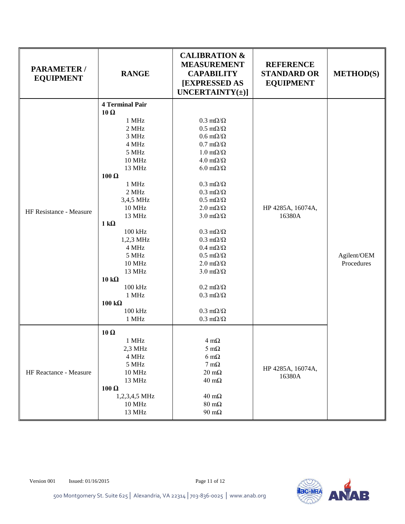| <b>PARAMETER /</b><br><b>EQUIPMENT</b> | <b>RANGE</b>                                  | <b>CALIBRATION &amp;</b><br><b>MEASUREMENT</b><br><b>CAPABILITY</b><br><b>[EXPRESSED AS</b><br>UNCERTAINTY $(\pm)$ ] | <b>REFERENCE</b><br><b>STANDARD OR</b><br><b>EQUIPMENT</b> | <b>METHOD(S)</b> |
|----------------------------------------|-----------------------------------------------|----------------------------------------------------------------------------------------------------------------------|------------------------------------------------------------|------------------|
|                                        | <b>4 Terminal Pair</b><br>$10\Omega$<br>1 MHz | $0.3 \text{ m}\Omega/\Omega$                                                                                         |                                                            |                  |
|                                        | 2 MHz                                         | $0.5 \text{ m}\Omega/\Omega$                                                                                         |                                                            |                  |
|                                        | 3 MHz                                         | $0.6 \text{ m}\Omega/\Omega$                                                                                         |                                                            |                  |
|                                        | 4 MHz                                         | $0.7 \text{ m}\Omega/\Omega$                                                                                         |                                                            |                  |
|                                        | 5 MHz                                         | $1.0 \text{ m}\Omega/\Omega$                                                                                         |                                                            |                  |
|                                        | <b>10 MHz</b>                                 | $4.0 \text{ m}\Omega/\Omega$                                                                                         |                                                            |                  |
|                                        | 13 MHz                                        | $6.0 \text{ m}\Omega/\Omega$                                                                                         |                                                            |                  |
|                                        | $100 \Omega$                                  |                                                                                                                      |                                                            |                  |
|                                        | 1 MHz                                         | $0.3 \text{ m}\Omega/\Omega$                                                                                         |                                                            |                  |
|                                        | $2~\mathrm{MHz}$                              | $0.3 \text{ m}\Omega/\Omega$                                                                                         |                                                            |                  |
|                                        | 3,4,5 MHz                                     | $0.5 \; \text{m}\Omega/\Omega$                                                                                       |                                                            |                  |
|                                        | 10 MHz                                        | $2.0 \text{ m}\Omega/\Omega$                                                                                         | HP 4285A, 16074A,                                          |                  |
| HF Resistance - Measure                | 13 MHz                                        | $3.0 \text{ m}\Omega/\Omega$                                                                                         | 16380A                                                     |                  |
|                                        | $1 k\Omega$                                   |                                                                                                                      |                                                            |                  |
|                                        | $100\ \mathrm{kHz}$                           | $0.3 \text{ m}\Omega/\Omega$                                                                                         |                                                            |                  |
|                                        | 1,2,3 MHz                                     | $0.3 \text{ m}\Omega/\Omega$                                                                                         |                                                            |                  |
|                                        | 4 MHz                                         | $0.4 \text{ m}\Omega/\Omega$                                                                                         |                                                            |                  |
|                                        | 5 MHz                                         | $0.5 \text{ m}\Omega/\Omega$                                                                                         |                                                            | Agilent/OEM      |
|                                        | <b>10 MHz</b>                                 | $2.0 \text{ m}\Omega/\Omega$                                                                                         |                                                            | Procedures       |
|                                        | 13 MHz                                        | $3.0 \text{ m}\Omega/\Omega$                                                                                         |                                                            |                  |
|                                        | $10 k\Omega$                                  |                                                                                                                      |                                                            |                  |
|                                        | 100 kHz                                       | $0.2 \text{ m}\Omega/\Omega$                                                                                         |                                                            |                  |
|                                        | 1 MHz                                         | $0.3 \text{ m}\Omega/\Omega$                                                                                         |                                                            |                  |
|                                        | $100 k\Omega$                                 |                                                                                                                      |                                                            |                  |
|                                        | 100 kHz                                       | $0.3 \text{ m}\Omega/\Omega$                                                                                         |                                                            |                  |
|                                        | 1 MHz                                         | $0.3 \text{ m}\Omega/\Omega$                                                                                         |                                                            |                  |
|                                        | $10\Omega$                                    |                                                                                                                      |                                                            |                  |
|                                        | 1 MHz                                         | $4 \text{ m}\Omega$                                                                                                  |                                                            |                  |
|                                        | $2,3$ MHz                                     | $5 \text{ mA}$                                                                                                       |                                                            |                  |
|                                        | 4 MHz                                         | $6 \text{ m}\Omega$                                                                                                  |                                                            |                  |
| HF Reactance - Measure                 | 5 MHz                                         | $7 \text{ mA}$                                                                                                       |                                                            |                  |
|                                        | 10 MHz                                        | $20 \text{ m}\Omega$                                                                                                 | HP 4285A, 16074A,                                          |                  |
|                                        | 13 MHz                                        | $40 \text{ m}\Omega$                                                                                                 | 16380A                                                     |                  |
|                                        | $100 \Omega$                                  |                                                                                                                      |                                                            |                  |
|                                        | 1,2,3,4,5 MHz                                 | $40 \text{ m}\Omega$                                                                                                 |                                                            |                  |
|                                        | <b>10 MHz</b>                                 | $80 \text{ m}\Omega$                                                                                                 |                                                            |                  |
|                                        | 13 MHz                                        | $90 \text{ m}\Omega$                                                                                                 |                                                            |                  |